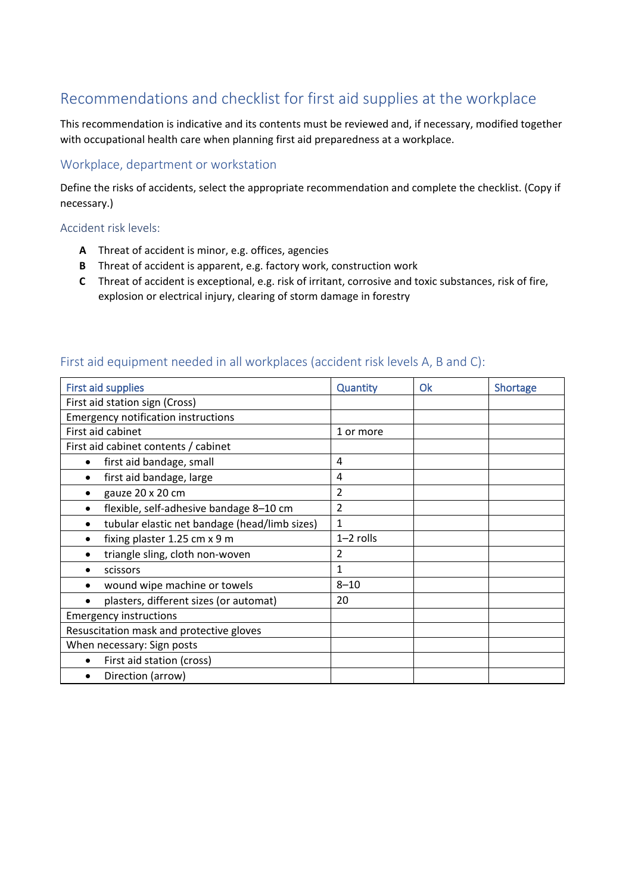# Recommendations and checklist for first aid supplies at the workplace

This recommendation is indicative and its contents must be reviewed and, if necessary, modified together with occupational health care when planning first aid preparedness at a workplace.

### Workplace, department or workstation

Define the risks of accidents, select the appropriate recommendation and complete the checklist. (Copy if necessary.)

#### Accident risk levels:

- **A** Threat of accident is minor, e.g. offices, agencies
- **B** Threat of accident is apparent, e.g. factory work, construction work
- **C** Threat of accident is exceptional, e.g. risk of irritant, corrosive and toxic substances, risk of fire, explosion or electrical injury, clearing of storm damage in forestry

| <b>First aid supplies</b>                                  | Quantity       | Ok | Shortage |
|------------------------------------------------------------|----------------|----|----------|
| First aid station sign (Cross)                             |                |    |          |
| <b>Emergency notification instructions</b>                 |                |    |          |
| First aid cabinet                                          | 1 or more      |    |          |
| First aid cabinet contents / cabinet                       |                |    |          |
| first aid bandage, small<br>$\bullet$                      | 4              |    |          |
| first aid bandage, large                                   | 4              |    |          |
| gauze 20 x 20 cm                                           | 2              |    |          |
| flexible, self-adhesive bandage 8-10 cm<br>٠               | $\overline{2}$ |    |          |
| tubular elastic net bandage (head/limb sizes)<br>$\bullet$ | $\mathbf{1}$   |    |          |
| fixing plaster 1.25 cm x 9 m                               | $1-2$ rolls    |    |          |
| triangle sling, cloth non-woven                            | $\overline{2}$ |    |          |
| scissors                                                   | 1              |    |          |
| wound wipe machine or towels                               | $8 - 10$       |    |          |
| plasters, different sizes (or automat)                     | 20             |    |          |
| <b>Emergency instructions</b>                              |                |    |          |
| Resuscitation mask and protective gloves                   |                |    |          |
| When necessary: Sign posts                                 |                |    |          |
| First aid station (cross)<br>٠                             |                |    |          |
| Direction (arrow)                                          |                |    |          |

#### First aid equipment needed in all workplaces (accident risk levels A, B and C):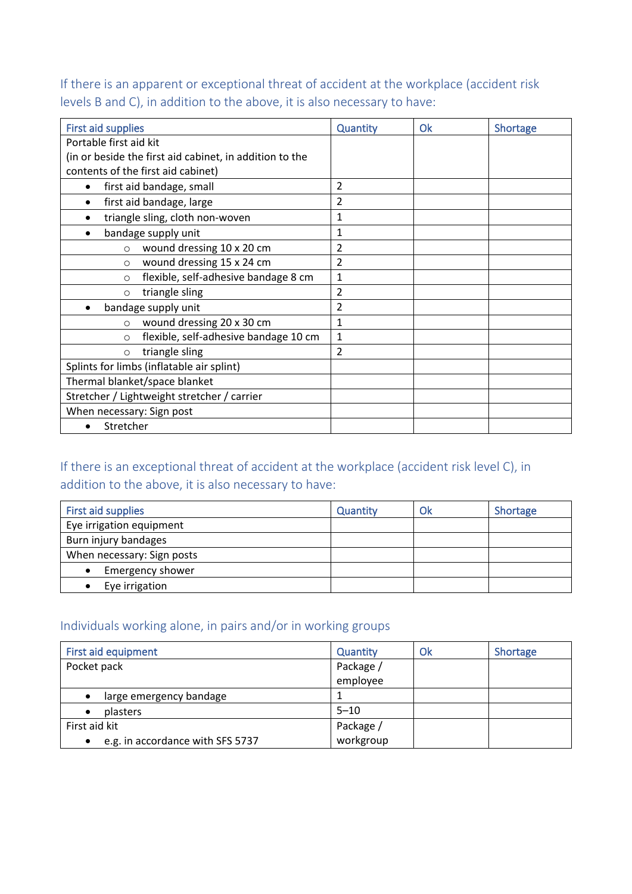If there is an apparent or exceptional threat of accident at the workplace (accident risk levels B and C), in addition to the above, it is also necessary to have:

| <b>First aid supplies</b>                   |                                                         | <b>Quantity</b> | Ok | Shortage |
|---------------------------------------------|---------------------------------------------------------|-----------------|----|----------|
| Portable first aid kit                      |                                                         |                 |    |          |
|                                             | (in or beside the first aid cabinet, in addition to the |                 |    |          |
| contents of the first aid cabinet)          |                                                         |                 |    |          |
| first aid bandage, small<br>$\bullet$       |                                                         | $\overline{2}$  |    |          |
| first aid bandage, large                    |                                                         | 2               |    |          |
|                                             | triangle sling, cloth non-woven                         | $\mathbf{1}$    |    |          |
| bandage supply unit                         |                                                         | 1               |    |          |
| $\circ$                                     | wound dressing 10 x 20 cm                               | 2               |    |          |
| $\circ$                                     | wound dressing 15 x 24 cm                               | $\overline{2}$  |    |          |
| $\circ$                                     | flexible, self-adhesive bandage 8 cm                    | 1               |    |          |
| $\circ$                                     | triangle sling                                          | 2               |    |          |
| bandage supply unit                         |                                                         | 2               |    |          |
| $\circ$                                     | wound dressing 20 x 30 cm                               | 1               |    |          |
| $\circ$                                     | flexible, self-adhesive bandage 10 cm                   | $\mathbf{1}$    |    |          |
| $\circ$                                     | triangle sling                                          | $\overline{2}$  |    |          |
| Splints for limbs (inflatable air splint)   |                                                         |                 |    |          |
| Thermal blanket/space blanket               |                                                         |                 |    |          |
| Stretcher / Lightweight stretcher / carrier |                                                         |                 |    |          |
| When necessary: Sign post                   |                                                         |                 |    |          |
| Stretcher                                   |                                                         |                 |    |          |

# If there is an exceptional threat of accident at the workplace (accident risk level C), in addition to the above, it is also necessary to have:

| First aid supplies         | <b>Quantity</b> | Ok | Shortage |
|----------------------------|-----------------|----|----------|
| Eye irrigation equipment   |                 |    |          |
| Burn injury bandages       |                 |    |          |
| When necessary: Sign posts |                 |    |          |
| Emergency shower           |                 |    |          |
| Eye irrigation             |                 |    |          |

## Individuals working alone, in pairs and/or in working groups

| First aid equipment                           | <b>Quantity</b> | Ok | Shortage |
|-----------------------------------------------|-----------------|----|----------|
| Pocket pack                                   | Package /       |    |          |
|                                               | employee        |    |          |
| large emergency bandage                       |                 |    |          |
| plasters<br>٠                                 | $5 - 10$        |    |          |
| First aid kit                                 | Package /       |    |          |
| e.g. in accordance with SFS 5737<br>$\bullet$ | workgroup       |    |          |